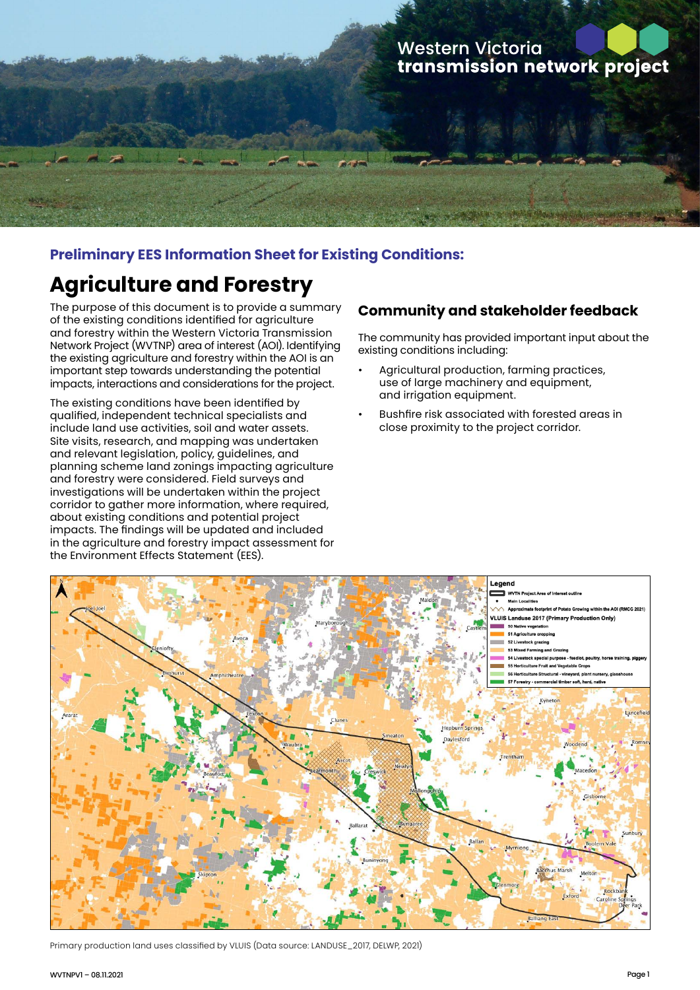# **Western Victoria** transmission network project

## **Preliminary EES Information Sheet for Existing Conditions:**

# **Agriculture and Forestry**

The purpose of this document is to provide a summary of the existing conditions identified for agriculture and forestry within the Western Victoria Transmission Network Project (WVTNP) area of interest (AOI). Identifying the existing agriculture and forestry within the AOI is an important step towards understanding the potential impacts, interactions and considerations for the project.

The existing conditions have been identified by qualified, independent technical specialists and include land use activities, soil and water assets. Site visits, research, and mapping was undertaken and relevant legislation, policy, guidelines, and planning scheme land zonings impacting agriculture and forestry were considered. Field surveys and investigations will be undertaken within the project corridor to gather more information, where required, about existing conditions and potential project impacts. The findings will be updated and included in the agriculture and forestry impact assessment for the Environment Effects Statement (EES).

#### **Community and stakeholder feedback**

The community has provided important input about the existing conditions including:

- Agricultural production, farming practices, use of large machinery and equipment, and irrigation equipment.
- Bushfire risk associated with forested areas in close proximity to the project corridor.



Primary production land uses classified by VLUIS (Data source: LANDUSE\_2017, DELWP, 2021)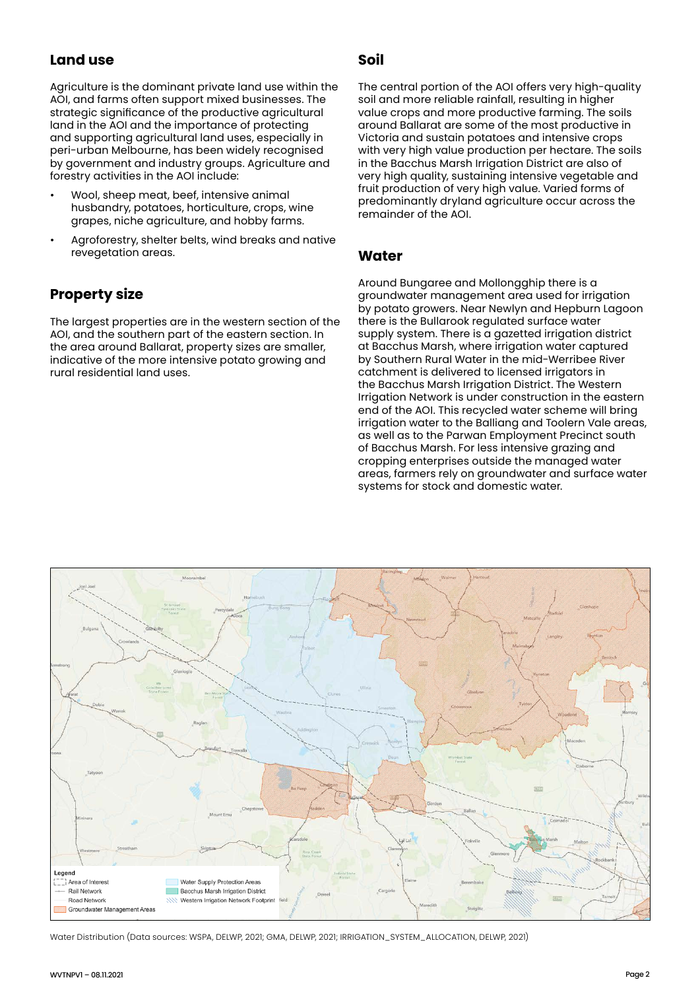## **Land use**

Agriculture is the dominant private land use within the AOI, and farms often support mixed businesses. The strategic significance of the productive agricultural land in the AOI and the importance of protecting and supporting agricultural land uses, especially in peri-urban Melbourne, has been widely recognised by government and industry groups. Agriculture and forestry activities in the AOI include:

- Wool, sheep meat, beef, intensive animal husbandry, potatoes, horticulture, crops, wine grapes, niche agriculture, and hobby farms.
- Agroforestry, shelter belts, wind breaks and native revegetation areas.

## **Property size**

The largest properties are in the western section of the AOI, and the southern part of the eastern section. In the area around Ballarat, property sizes are smaller, indicative of the more intensive potato growing and rural residential land uses.

#### **Soil**

The central portion of the AOI offers very high-quality soil and more reliable rainfall, resulting in higher value crops and more productive farming. The soils around Ballarat are some of the most productive in Victoria and sustain potatoes and intensive crops with very high value production per hectare. The soils in the Bacchus Marsh Irrigation District are also of very high quality, sustaining intensive vegetable and fruit production of very high value. Varied forms of predominantly dryland agriculture occur across the remainder of the AOI.

#### **Water**

Around Bungaree and Mollongghip there is a groundwater management area used for irrigation by potato growers. Near Newlyn and Hepburn Lagoon there is the Bullarook regulated surface water supply system. There is a gazetted irrigation district at Bacchus Marsh, where irrigation water captured by Southern Rural Water in the mid-Werribee River catchment is delivered to licensed irrigators in the Bacchus Marsh Irrigation District. The Western Irrigation Network is under construction in the eastern end of the AOI. This recycled water scheme will bring irrigation water to the Balliang and Toolern Vale areas, as well as to the Parwan Employment Precinct south of Bacchus Marsh. For less intensive grazing and cropping enterprises outside the managed water areas, farmers rely on groundwater and surface water systems for stock and domestic water.



Water Distribution (Data sources: WSPA, DELWP, 2021; GMA, DELWP, 2021; IRRIGATION\_SYSTEM\_ALLOCATION, DELWP, 2021)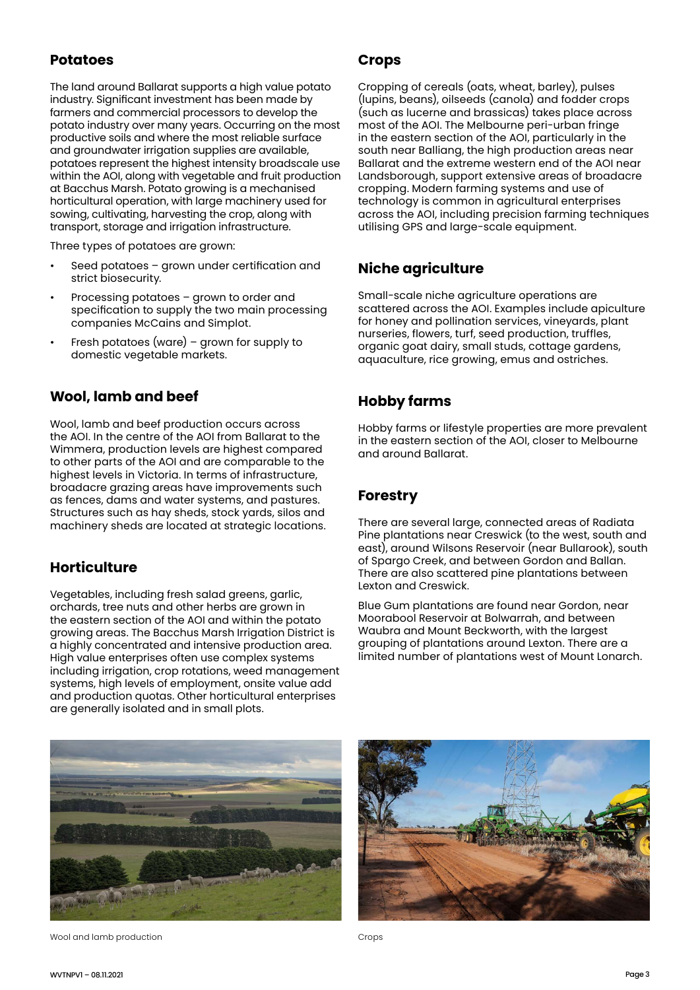#### **Potatoes**

The land around Ballarat supports a high value potato industry. Significant investment has been made by farmers and commercial processors to develop the potato industry over many years. Occurring on the most productive soils and where the most reliable surface and groundwater irrigation supplies are available, potatoes represent the highest intensity broadscale use within the AOI, along with vegetable and fruit production at Bacchus Marsh. Potato growing is a mechanised horticultural operation, with large machinery used for sowing, cultivating, harvesting the crop, along with transport, storage and irrigation infrastructure.

Three types of potatoes are grown:

- Seed potatoes grown under certification and strict biosecurity.
- Processing potatoes grown to order and specification to supply the two main processing companies McCains and Simplot.
- Fresh potatoes (ware) grown for supply to domestic vegetable markets.

#### **Wool, lamb and beef**

Wool, lamb and beef production occurs across the AOI. In the centre of the AOI from Ballarat to the Wimmera, production levels are highest compared to other parts of the AOI and are comparable to the highest levels in Victoria. In terms of infrastructure, broadacre grazing areas have improvements such as fences, dams and water systems, and pastures. Structures such as hay sheds, stock yards, silos and machinery sheds are located at strategic locations.

#### **Horticulture**

Vegetables, including fresh salad greens, garlic, orchards, tree nuts and other herbs are grown in the eastern section of the AOI and within the potato growing areas. The Bacchus Marsh Irrigation District is a highly concentrated and intensive production area. High value enterprises often use complex systems including irrigation, crop rotations, weed management systems, high levels of employment, onsite value add and production quotas. Other horticultural enterprises are generally isolated and in small plots.

#### **Crops**

Cropping of cereals (oats, wheat, barley), pulses (lupins, beans), oilseeds (canola) and fodder crops (such as lucerne and brassicas) takes place across most of the AOI. The Melbourne peri-urban fringe in the eastern section of the AOI, particularly in the south near Balliang, the high production areas near Ballarat and the extreme western end of the AOI near Landsborough, support extensive areas of broadacre cropping. Modern farming systems and use of technology is common in agricultural enterprises across the AOI, including precision farming techniques utilising GPS and large-scale equipment.

#### **Niche agriculture**

Small-scale niche agriculture operations are scattered across the AOI. Examples include apiculture for honey and pollination services, vineyards, plant nurseries, flowers, turf, seed production, truffles, organic goat dairy, small studs, cottage gardens, aquaculture, rice growing, emus and ostriches.

#### **Hobby farms**

Hobby farms or lifestyle properties are more prevalent in the eastern section of the AOI, closer to Melbourne and around Ballarat.

#### **Forestry**

There are several large, connected areas of Radiata Pine plantations near Creswick (to the west, south and east), around Wilsons Reservoir (near Bullarook), south of Spargo Creek, and between Gordon and Ballan. There are also scattered pine plantations between Lexton and Creswick.

Blue Gum plantations are found near Gordon, near Moorabool Reservoir at Bolwarrah, and between Waubra and Mount Beckworth, with the largest grouping of plantations around Lexton. There are a limited number of plantations west of Mount Lonarch.



Wool and lamb production and the control of the crops of the crops of the crops of the crops of the crops of the crops of the crops of the crops of the crops of the crops of the crops of the crops of the crops of the crops